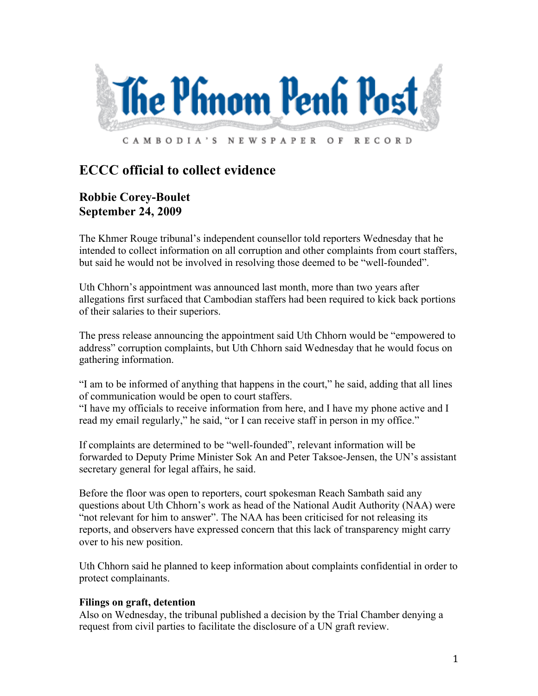

## **ECCC official to collect evidence**

## **Robbie Corey-Boulet September 24, 2009**

The Khmer Rouge tribunal's independent counsellor told reporters Wednesday that he intended to collect information on all corruption and other complaints from court staffers, but said he would not be involved in resolving those deemed to be "well-founded".

Uth Chhorn's appointment was announced last month, more than two years after allegations first surfaced that Cambodian staffers had been required to kick back portions of their salaries to their superiors.

The press release announcing the appointment said Uth Chhorn would be "empowered to address" corruption complaints, but Uth Chhorn said Wednesday that he would focus on gathering information.

"I am to be informed of anything that happens in the court," he said, adding that all lines of communication would be open to court staffers.

"I have my officials to receive information from here, and I have my phone active and I read my email regularly," he said, "or I can receive staff in person in my office."

If complaints are determined to be "well-founded", relevant information will be forwarded to Deputy Prime Minister Sok An and Peter Taksoe-Jensen, the UN's assistant secretary general for legal affairs, he said.

Before the floor was open to reporters, court spokesman Reach Sambath said any questions about Uth Chhorn's work as head of the National Audit Authority (NAA) were "not relevant for him to answer". The NAA has been criticised for not releasing its reports, and observers have expressed concern that this lack of transparency might carry over to his new position.

Uth Chhorn said he planned to keep information about complaints confidential in order to protect complainants.

## **Filings on graft, detention**

Also on Wednesday, the tribunal published a decision by the Trial Chamber denying a request from civil parties to facilitate the disclosure of a UN graft review.